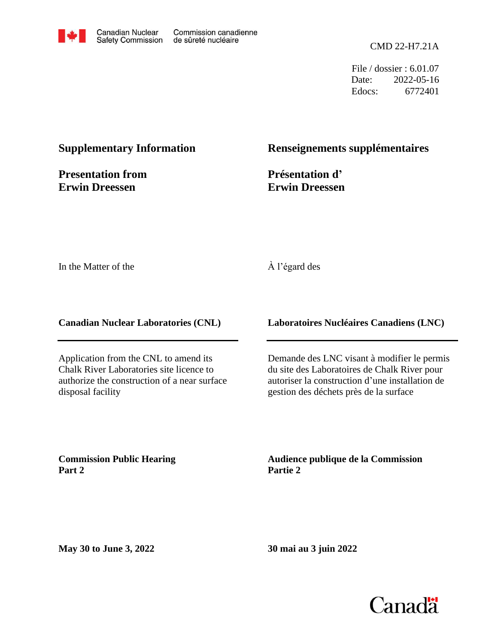

File / dossier : 6.01.07 Date: 2022-05-16 Edocs: 6772401

## **Supplementary Information**

**Presentation from Erwin Dreessen**

### **Renseignements supplémentaires**

**Présentation d' Erwin Dreessen**

In the Matter of the

#### À l'égard des

**Canadian Nuclear Laboratories (CNL)**

Application from the CNL to amend its Chalk River Laboratories site licence to authorize the construction of a near surface disposal facility

**Laboratoires Nucléaires Canadiens (LNC)**

Demande des LNC visant à modifier le permis du site des Laboratoires de Chalk River pour autoriser la construction d'une installation de gestion des déchets près de la surface

**Commission Public Hearing Part 2**

**Audience publique de la Commission Partie 2**

**May 30 to June 3, 2022**

**30 mai au 3 juin 2022**

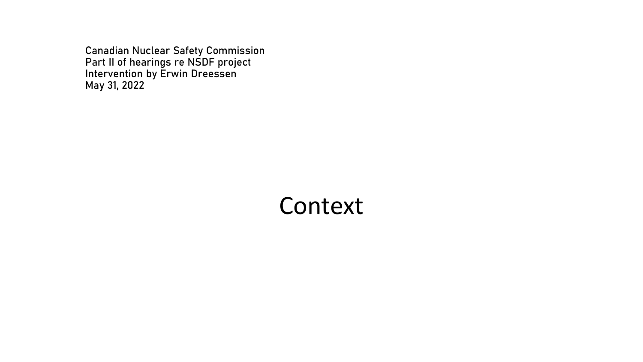Canadian Nuclear Safety Commission Part II of hearings re NSDF project Intervention by Erwin Dreessen May 31, 2022

# Context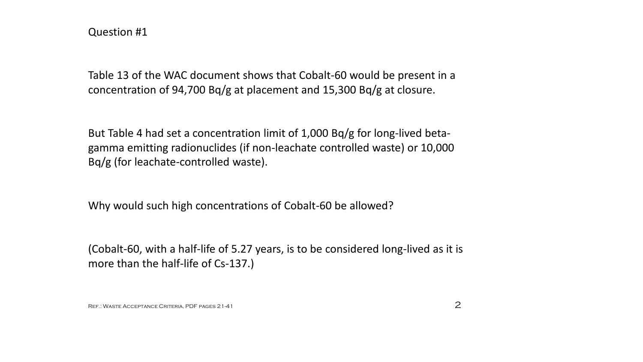Table 13 of the WAC document shows that Cobalt-60 would be present in a concentration of 94,700 Bq/g at placement and 15,300 Bq/g at closure.

But Table 4 had set a concentration limit of 1,000 Bq/g for long-lived betagamma emitting radionuclides (if non-leachate controlled waste) or 10,000 Bq/g (for leachate-controlled waste).

Why would such high concentrations of Cobalt-60 be allowed?

(Cobalt-60, with a half-life of 5.27 years, is to be considered long-lived as it is more than the half-life of Cs-137.)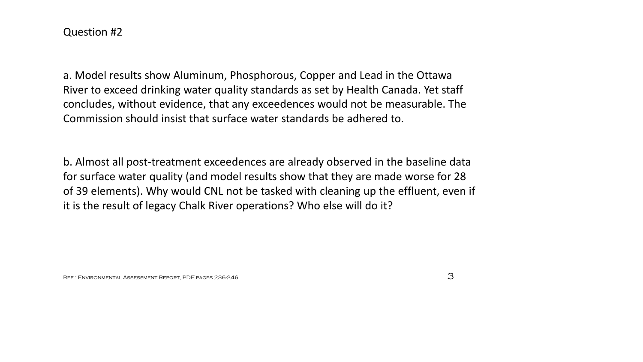a. Model results show Aluminum, Phosphorous, Copper and Lead in the Ottawa River to exceed drinking water quality standards as set by Health Canada. Yet staff concludes, without evidence, that any exceedences would not be measurable. The Commission should insist that surface water standards be adhered to.

b. Almost all post-treatment exceedences are already observed in the baseline data for surface water quality (and model results show that they are made worse for 28 of 39 elements). Why would CNL not be tasked with cleaning up the effluent, even if it is the result of legacy Chalk River operations? Who else will do it?

REF.: ENVIRONMENTAL ASSESSMENT REPORT, PDF PAGES 236-246  $3$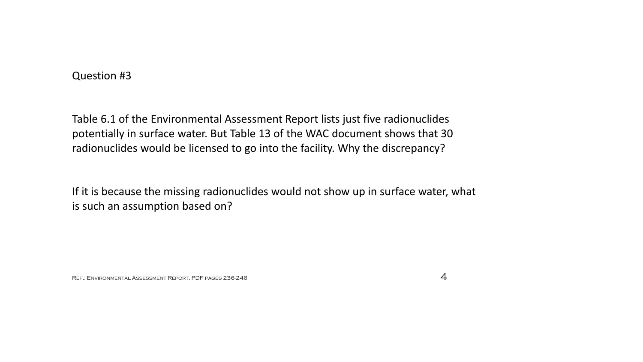Table 6.1 of the Environmental Assessment Report lists just five radionuclides potentially in surface water. But Table 13 of the WAC document shows that 30 radionuclides would be licensed to go into the facility. Why the discrepancy?

If it is because the missing radionuclides would not show up in surface water, what is such an assumption based on?

REF.: ENVIRONMENTAL ASSESSMENT REPORT, PDF pages 236-246  $\diamond$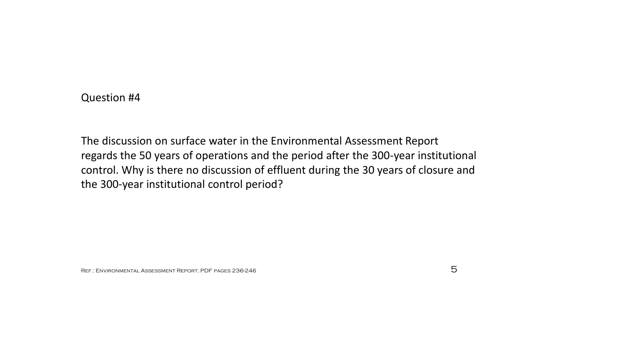The discussion on surface water in the Environmental Assessment Report regards the 50 years of operations and the period after the 300-year institutional control. Why is there no discussion of effluent during the 30 years of closure and the 300-year institutional control period?

REF.: ENVIRONMENTAL ASSESSMENT REPORT, PDF pages 236-246  $5$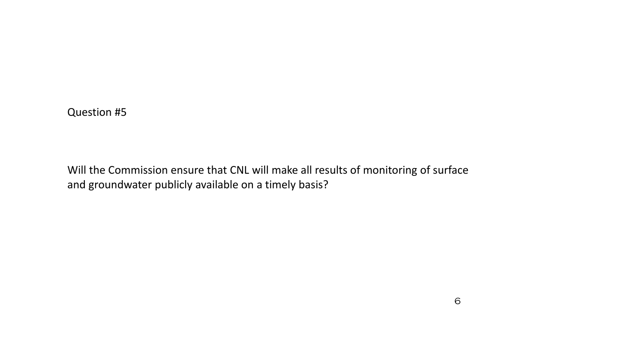Will the Commission ensure that CNL will make all results of monitoring of surface and groundwater publicly available on a timely basis?